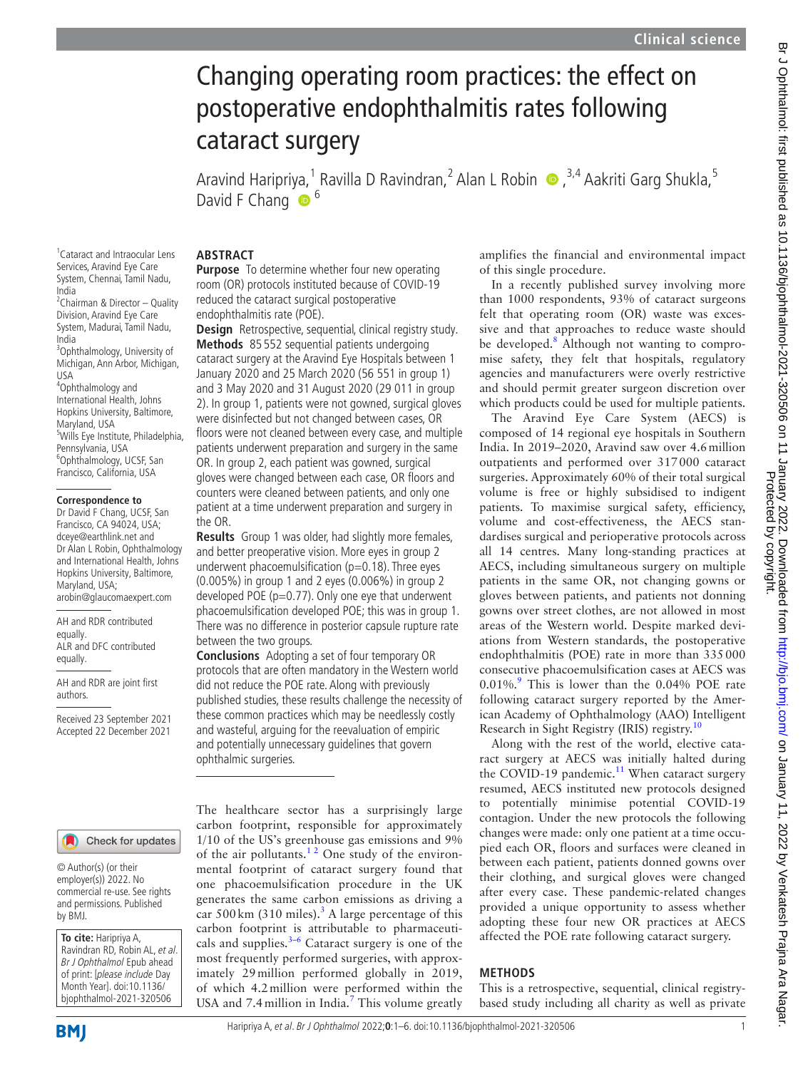# Changing operating room practices: the effect on postoperative endophthalmitis rates following cataract surgery

Aravind Haripriya,<sup>1</sup> Ravilla D Ravindran,<sup>2</sup> Alan L Robin (D, <sup>3,4</sup> Aakriti Garg Shukla,<sup>5</sup> David F Chang  $\bullet$ <sup>6</sup>

# **ABSTRACT**

**Purpose** To determine whether four new operating room (OR) protocols instituted because of COVID-19 reduced the cataract surgical postoperative endophthalmitis rate (POE).

**Design** Retrospective, sequential, clinical registry study. **Methods** 85 552 sequential patients undergoing cataract surgery at the Aravind Eye Hospitals between 1 January 2020 and 25 March 2020 (56 551 in group 1) and 3 May 2020 and 31 August 2020 (29 011 in group 2). In group 1, patients were not gowned, surgical gloves were disinfected but not changed between cases, OR floors were not cleaned between every case, and multiple patients underwent preparation and surgery in the same OR. In group 2, each patient was gowned, surgical gloves were changed between each case, OR floors and counters were cleaned between patients, and only one patient at a time underwent preparation and surgery in the OR.

**Results** Group 1 was older, had slightly more females, and better preoperative vision. More eyes in group 2 underwent phacoemulsification ( $p=0.18$ ). Three eyes (0.005%) in group 1 and 2 eyes (0.006%) in group 2 developed POE (p=0.77). Only one eye that underwent phacoemulsification developed POE; this was in group 1. There was no difference in posterior capsule rupture rate between the two groups.

**Conclusions** Adopting a set of four temporary OR protocols that are often mandatory in the Western world did not reduce the POE rate. Along with previously published studies, these results challenge the necessity of these common practices which may be needlessly costly and wasteful, arguing for the reevaluation of empiric and potentially unnecessary guidelines that govern ophthalmic surgeries.

The healthcare sector has a surprisingly large carbon footprint, responsible for approximately 1/10 of the US's greenhouse gas emissions and 9% of the air pollutants. $12$  One study of the environmental footprint of cataract surgery found that one phacoemulsification procedure in the UK generates the same carbon emissions as driving a car 500 km ([3](#page-4-1)10 miles).<sup>3</sup> A large percentage of this carbon footprint is attributable to pharmaceuticals and supplies. $3-6$  Cataract surgery is one of the most frequently performed surgeries, with approximately 29million performed globally in 2019, of which 4.2million were performed within the USA and [7](#page-4-2).4 million in India.<sup>7</sup> This volume greatly amplifies the financial and environmental impact of this single procedure.

In a recently published survey involving more than 1000 respondents, 93% of cataract surgeons felt that operating room (OR) waste was excessive and that approaches to reduce waste should be developed.<sup>8</sup> Although not wanting to compromise safety, they felt that hospitals, regulatory agencies and manufacturers were overly restrictive and should permit greater surgeon discretion over which products could be used for multiple patients.

The Aravind Eye Care System (AECS) is composed of 14 regional eye hospitals in Southern India. In 2019–2020, Aravind saw over 4.6million outpatients and performed over 317000 cataract surgeries. Approximately 60% of their total surgical volume is free or highly subsidised to indigent patients. To maximise surgical safety, efficiency, volume and cost-effectiveness, the AECS standardises surgical and perioperative protocols across all 14 centres. Many long-standing practices at AECS, including simultaneous surgery on multiple patients in the same OR, not changing gowns or gloves between patients, and patients not donning gowns over street clothes, are not allowed in most areas of the Western world. Despite marked deviations from Western standards, the postoperative endophthalmitis (POE) rate in more than 335000 consecutive phacoemulsification cases at AECS was 0.01%.<sup>[9](#page-4-4)</sup> This is lower than the 0.04% POE rate following cataract surgery reported by the American Academy of Ophthalmology (AAO) Intelligent Research in Sight Registry (IRIS) registry.<sup>[10](#page-4-5)</sup>

Along with the rest of the world, elective cataract surgery at AECS was initially halted during the COVID-19 pandemic.<sup>[11](#page-4-6)</sup> When cataract surgery resumed, AECS instituted new protocols designed to potentially minimise potential COVID-19 contagion. Under the new protocols the following changes were made: only one patient at a time occupied each OR, floors and surfaces were cleaned in between each patient, patients donned gowns over their clothing, and surgical gloves were changed after every case. These pandemic-related changes provided a unique opportunity to assess whether adopting these four new OR practices at AECS affected the POE rate following cataract surgery.

#### **METHODS**

This is a retrospective, sequential, clinical registrybased study including all charity as well as private

1 Cataract and Intraocular Lens Services, Aravind Eye Care System, Chennai, Tamil Nadu, India <sup>2</sup> Chairman & Director - Quality Division, Aravind Eye Care System, Madurai, Tamil Nadu,

India 3 Ophthalmology, University of

Michigan, Ann Arbor, Michigan, USA 4 Ophthalmology and International Health, Johns

Hopkins University, Baltimore, Maryland, USA <sup>5</sup>Wills Eye Institute, Philadelphia, Pennsylvania, USA 6 Ophthalmology, UCSF, San Francisco, California, USA

#### **Correspondence to**

Dr David F Chang, UCSF, San Francisco, CA 94024, USA; dceye@earthlink.net and Dr Alan L Robin, Ophthalmology and International Health, Johns Hopkins University, Baltimore, Maryland, USA; arobin@glaucomaexpert.com

AH and RDR contributed equally. ALR and DFC contributed equally.

AH and RDR are joint first authors.

Received 23 September 2021 Accepted 22 December 2021

#### Check for updates

© Author(s) (or their employer(s)) 2022. No commercial re-use. See rights and permissions. Published by BMJ.

**To cite:** Haripriya A, Ravindran RD, Robin AL, et al. Br J Ophthalmol Epub ahead of print: [please include Day Month Year]. doi:10.1136/ bjophthalmol-2021-320506

Protected by copyright.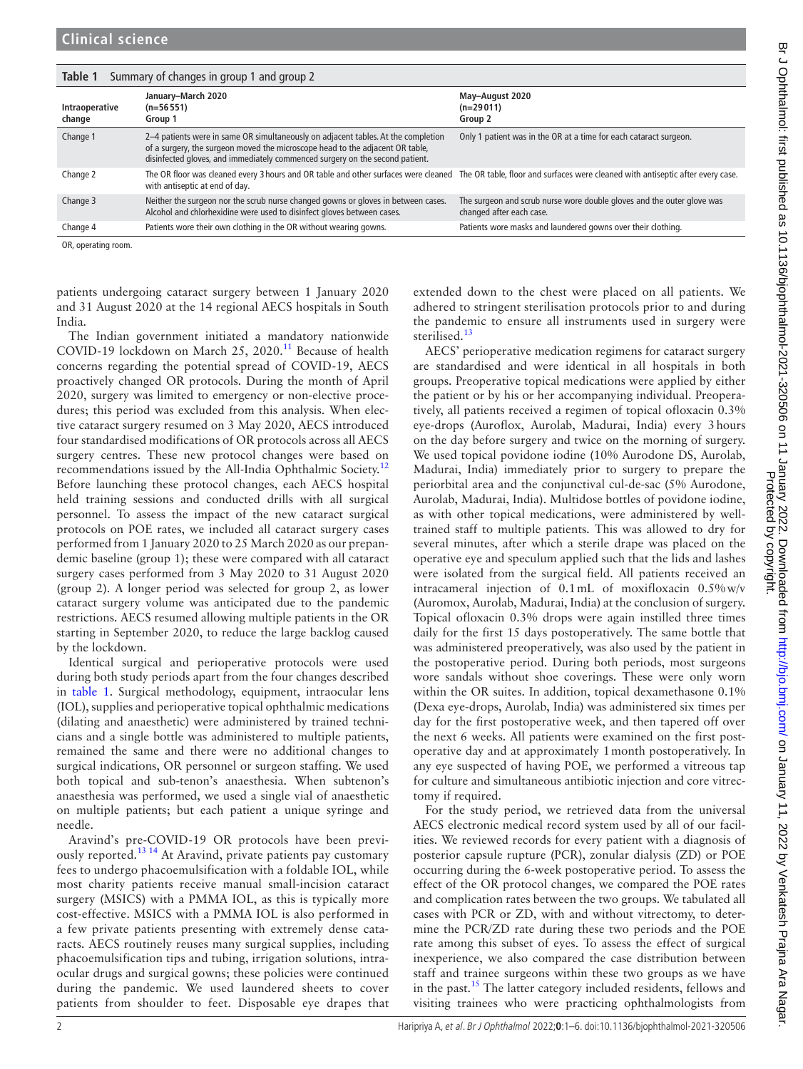<span id="page-1-0"></span>

| Summary of changes in group 1 and group 2<br>Table 1 |                                                                                                                                                                                                                                                    |                                                                                                    |  |  |  |  |
|------------------------------------------------------|----------------------------------------------------------------------------------------------------------------------------------------------------------------------------------------------------------------------------------------------------|----------------------------------------------------------------------------------------------------|--|--|--|--|
| Intraoperative<br>change                             | January-March 2020<br>$(n=56551)$<br>Group 1                                                                                                                                                                                                       | May-August 2020<br>$(n=29011)$<br>Group 2                                                          |  |  |  |  |
| Change 1                                             | 2–4 patients were in same OR simultaneously on adjacent tables. At the completion<br>of a surgery, the surgeon moved the microscope head to the adjacent OR table,<br>disinfected gloves, and immediately commenced surgery on the second patient. | Only 1 patient was in the OR at a time for each cataract surgeon.                                  |  |  |  |  |
| Change 2                                             | The OR floor was cleaned every 3 hours and OR table and other surfaces were cleaned The OR table, floor and surfaces were cleaned with antiseptic after every case.<br>with antiseptic at end of day.                                              |                                                                                                    |  |  |  |  |
| Change 3                                             | Neither the surgeon nor the scrub nurse changed gowns or gloves in between cases.<br>Alcohol and chlorhexidine were used to disinfect gloves between cases.                                                                                        | The surgeon and scrub nurse wore double gloves and the outer glove was<br>changed after each case. |  |  |  |  |
| Change 4                                             | Patients wore their own clothing in the OR without wearing gowns.                                                                                                                                                                                  | Patients wore masks and laundered gowns over their clothing.                                       |  |  |  |  |

OR, operating room.

patients undergoing cataract surgery between 1 January 2020 and 31 August 2020 at the 14 regional AECS hospitals in South India.

The Indian government initiated a mandatory nationwide COVID-19 lockdown on March 25, 2020.<sup>11</sup> Because of health concerns regarding the potential spread of COVID-19, AECS proactively changed OR protocols. During the month of April 2020, surgery was limited to emergency or non-elective procedures; this period was excluded from this analysis. When elective cataract surgery resumed on 3 May 2020, AECS introduced four standardised modifications of OR protocols across all AECS surgery centres. These new protocol changes were based on recommendations issued by the All-India Ophthalmic Society.<sup>[12](#page-4-7)</sup> Before launching these protocol changes, each AECS hospital held training sessions and conducted drills with all surgical personnel. To assess the impact of the new cataract surgical protocols on POE rates, we included all cataract surgery cases performed from 1 January 2020 to 25 March 2020 as our prepandemic baseline (group 1); these were compared with all cataract surgery cases performed from 3 May 2020 to 31 August 2020 (group 2). A longer period was selected for group 2, as lower cataract surgery volume was anticipated due to the pandemic restrictions. AECS resumed allowing multiple patients in the OR starting in September 2020, to reduce the large backlog caused by the lockdown.

Identical surgical and perioperative protocols were used during both study periods apart from the four changes described in [table](#page-1-0) 1. Surgical methodology, equipment, intraocular lens (IOL), supplies and perioperative topical ophthalmic medications (dilating and anaesthetic) were administered by trained technicians and a single bottle was administered to multiple patients, remained the same and there were no additional changes to surgical indications, OR personnel or surgeon staffing. We used both topical and sub-tenon's anaesthesia. When subtenon's anaesthesia was performed, we used a single vial of anaesthetic on multiple patients; but each patient a unique syringe and needle.

Aravind's pre-COVID-19 OR protocols have been previ-ously reported.<sup>[13 14](#page-4-8)</sup> At Aravind, private patients pay customary fees to undergo phacoemulsification with a foldable IOL, while most charity patients receive manual small-incision cataract surgery (MSICS) with a PMMA IOL, as this is typically more cost-effective. MSICS with a PMMA IOL is also performed in a few private patients presenting with extremely dense cataracts. AECS routinely reuses many surgical supplies, including phacoemulsification tips and tubing, irrigation solutions, intraocular drugs and surgical gowns; these policies were continued during the pandemic. We used laundered sheets to cover patients from shoulder to feet. Disposable eye drapes that extended down to the chest were placed on all patients. We adhered to stringent sterilisation protocols prior to and during the pandemic to ensure all instruments used in surgery were sterilised.<sup>[13](#page-4-8)</sup>

AECS' perioperative medication regimens for cataract surgery are standardised and were identical in all hospitals in both groups. Preoperative topical medications were applied by either the patient or by his or her accompanying individual. Preoperatively, all patients received a regimen of topical ofloxacin 0.3% eye-drops (Auroflox, Aurolab, Madurai, India) every 3hours on the day before surgery and twice on the morning of surgery. We used topical povidone iodine (10% Aurodone DS, Aurolab, Madurai, India) immediately prior to surgery to prepare the periorbital area and the conjunctival cul-de-sac (5% Aurodone, Aurolab, Madurai, India). Multidose bottles of povidone iodine, as with other topical medications, were administered by welltrained staff to multiple patients. This was allowed to dry for several minutes, after which a sterile drape was placed on the operative eye and speculum applied such that the lids and lashes were isolated from the surgical field. All patients received an intracameral injection of 0.1mL of moxifloxacin 0.5%w/v (Auromox, Aurolab, Madurai, India) at the conclusion of surgery. Topical ofloxacin 0.3% drops were again instilled three times daily for the first 15 days postoperatively. The same bottle that was administered preoperatively, was also used by the patient in the postoperative period. During both periods, most surgeons wore sandals without shoe coverings. These were only worn within the OR suites. In addition, topical dexamethasone 0.1% (Dexa eye-drops, Aurolab, India) was administered six times per day for the first postoperative week, and then tapered off over the next 6 weeks. All patients were examined on the first postoperative day and at approximately 1month postoperatively. In any eye suspected of having POE, we performed a vitreous tap for culture and simultaneous antibiotic injection and core vitrectomy if required.

Protected by copyright.

For the study period, we retrieved data from the universal AECS electronic medical record system used by all of our facilities. We reviewed records for every patient with a diagnosis of posterior capsule rupture (PCR), zonular dialysis (ZD) or POE occurring during the 6-week postoperative period. To assess the effect of the OR protocol changes, we compared the POE rates and complication rates between the two groups. We tabulated all cases with PCR or ZD, with and without vitrectomy, to determine the PCR/ZD rate during these two periods and the POE rate among this subset of eyes. To assess the effect of surgical inexperience, we also compared the case distribution between staff and trainee surgeons within these two groups as we have in the past.<sup>[15](#page-4-9)</sup> The latter category included residents, fellows and visiting trainees who were practicing ophthalmologists from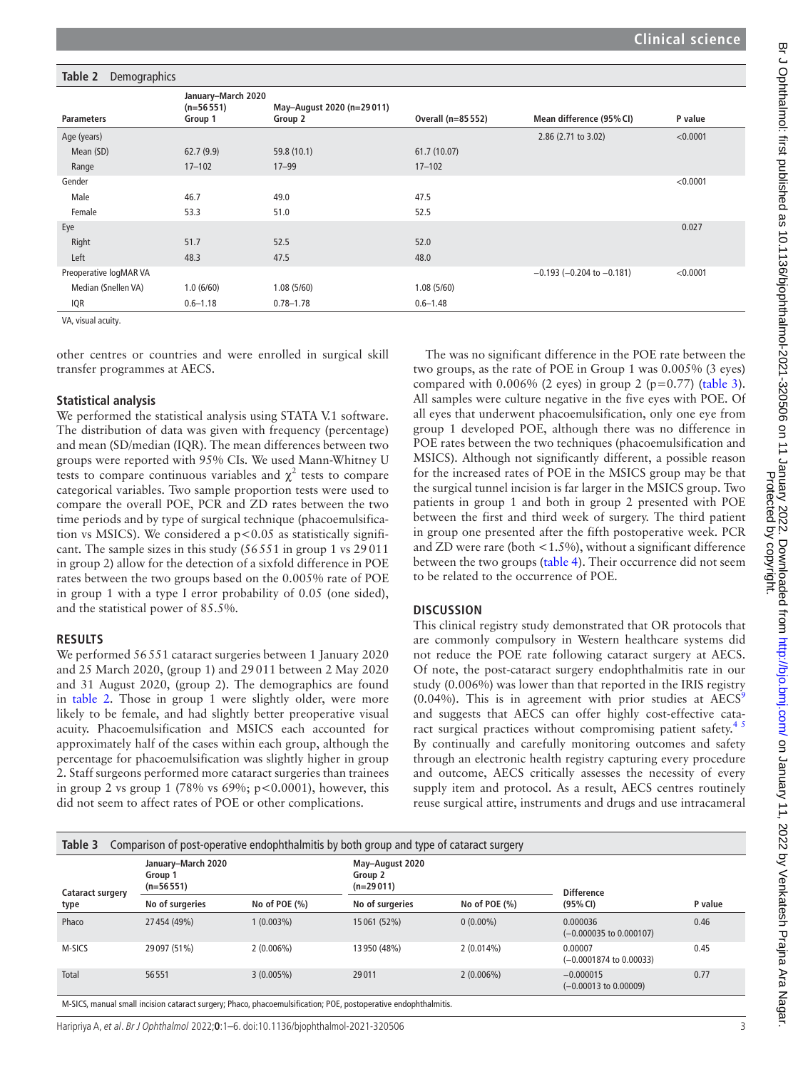#### <span id="page-2-0"></span>**Table 2** Demographics **Parameters January–March 2020 (n=56551) Group 1 May–August 2020 (n=29011) Group 2 Overall (n=85552) Mean difference (95%CI) P value** Age (years) 2.86 (2.71 to 3.02) <0.0001 Mean (SD) 62.7 (9.9) 59.8 (10.1) 61.7 (10.07) Range 17–102 17–99 17–102 Gender <0.0001 Male 46.7 49.0 49.0 47.5 Female 53.3 51.0 52.5 Eye 0.027 Right 51.7 52.5 52.0 Left 48.3 47.5 48.0 Preoperative logMAR VA −0.193 (−0.204 to −0.181) <0.0001 Median (Snellen VA) 1.0 (6/60) 1.08 (5/60) 1.08 (5/60) 1.08 (5/60) IQR 0.6–1.18 0.78–1.78 0.6–1.48

VA, visual acuity.

other centres or countries and were enrolled in surgical skill transfer programmes at AECS.

#### **Statistical analysis**

We performed the statistical analysis using STATA V.1 software. The distribution of data was given with frequency (percentage) and mean (SD/median (IQR). The mean differences between two groups were reported with 95% CIs. We used Mann-Whitney U tests to compare continuous variables and  $\chi^2$  tests to compare categorical variables. Two sample proportion tests were used to compare the overall POE, PCR and ZD rates between the two time periods and by type of surgical technique (phacoemulsification vs MSICS). We considered a  $p < 0.05$  as statistically significant. The sample sizes in this study (56551 in group 1 vs 29011 in group 2) allow for the detection of a sixfold difference in POE rates between the two groups based on the 0.005% rate of POE in group 1 with a type I error probability of 0.05 (one sided), and the statistical power of 85.5%.

### **RESULTS**

We performed 56551 cataract surgeries between 1 January 2020 and 25 March 2020, (group 1) and 29011 between 2 May 2020 and 31 August 2020, (group 2). The demographics are found in [table](#page-2-0) 2. Those in group 1 were slightly older, were more likely to be female, and had slightly better preoperative visual acuity. Phacoemulsification and MSICS each accounted for approximately half of the cases within each group, although the percentage for phacoemulsification was slightly higher in group 2. Staff surgeons performed more cataract surgeries than trainees in group 2 vs group 1 (78% vs  $69\%$ ;  $p < 0.0001$ ), however, this did not seem to affect rates of POE or other complications.

The was no significant difference in the POE rate between the two groups, as the rate of POE in Group 1 was 0.005% (3 eyes) compared with  $0.006\%$  (2 eyes) in group 2 (p=0.77) [\(table](#page-2-1) 3). All samples were culture negative in the five eyes with POE. Of all eyes that underwent phacoemulsification, only one eye from group 1 developed POE, although there was no difference in POE rates between the two techniques (phacoemulsification and MSICS). Although not significantly different, a possible reason for the increased rates of POE in the MSICS group may be that the surgical tunnel incision is far larger in the MSICS group. Two patients in group 1 and both in group 2 presented with POE between the first and third week of surgery. The third patient in group one presented after the fifth postoperative week. PCR and ZD were rare (both <1.5%), without a significant difference between the two groups [\(table](#page-3-0) 4). Their occurrence did not seem to be related to the occurrence of POE.

#### **DISCUSSION**

This clinical registry study demonstrated that OR protocols that are commonly compulsory in Western healthcare systems did not reduce the POE rate following cataract surgery at AECS. Of note, the post-cataract surgery endophthalmitis rate in our study (0.006%) was lower than that reported in the IRIS registry (0.04%). This is in agreement with prior studies at  $AECS<sup>5</sup>$ and suggests that AECS can offer highly cost-effective cataract surgical practices without compromising patient safety.<sup>45</sup> By continually and carefully monitoring outcomes and safety through an electronic health registry capturing every procedure and outcome, AECS critically assesses the necessity of every supply item and protocol. As a result, AECS centres routinely reuse surgical attire, instruments and drugs and use intracameral

<span id="page-2-1"></span>

| Comparison of post-operative endophthalmitis by both group and type of cataract surgery<br>Table 3 |                                              |                  |                                           |                  |                                          |         |  |  |  |  |
|----------------------------------------------------------------------------------------------------|----------------------------------------------|------------------|-------------------------------------------|------------------|------------------------------------------|---------|--|--|--|--|
| Cataract surgery<br>type                                                                           | January-March 2020<br>Group 1<br>$(n=56551)$ |                  | May-August 2020<br>Group 2<br>$(n=29011)$ |                  | <b>Difference</b>                        |         |  |  |  |  |
|                                                                                                    | No of surgeries                              | No of POE $(\%)$ | No of surgeries                           | No of POE $(\%)$ | (95% CI)                                 | P value |  |  |  |  |
| Phaco                                                                                              | 27454 (49%)                                  | $1(0.003\%)$     | 15061 (52%)                               | $0(0.00\%)$      | 0.000036<br>$(-0.000035$ to $0.000107)$  | 0.46    |  |  |  |  |
| M-SICS                                                                                             | 29 097 (51%)                                 | $2(0.006\%)$     | 13950 (48%)                               | $2(0.014\%)$     | 0.00007<br>$(-0.0001874$ to $0.00033)$   | 0.45    |  |  |  |  |
| Total                                                                                              | 56551                                        | $3(0.005\%)$     | 29011                                     | $2(0.006\%)$     | $-0.000015$<br>$(-0.00013$ to $0.00009)$ | 0.77    |  |  |  |  |
|                                                                                                    |                                              | $\cdots$         |                                           |                  |                                          |         |  |  |  |  |

M-SICS, manual small incision cataract surgery; Phaco, phacoemulsification; POE, postoperative endophthalmitis.

Haripriya A, et al. Br J Ophthalmol 2022;**0**:1–6. doi:10.1136/bjophthalmol-2021-320506 3

Protected by copyright.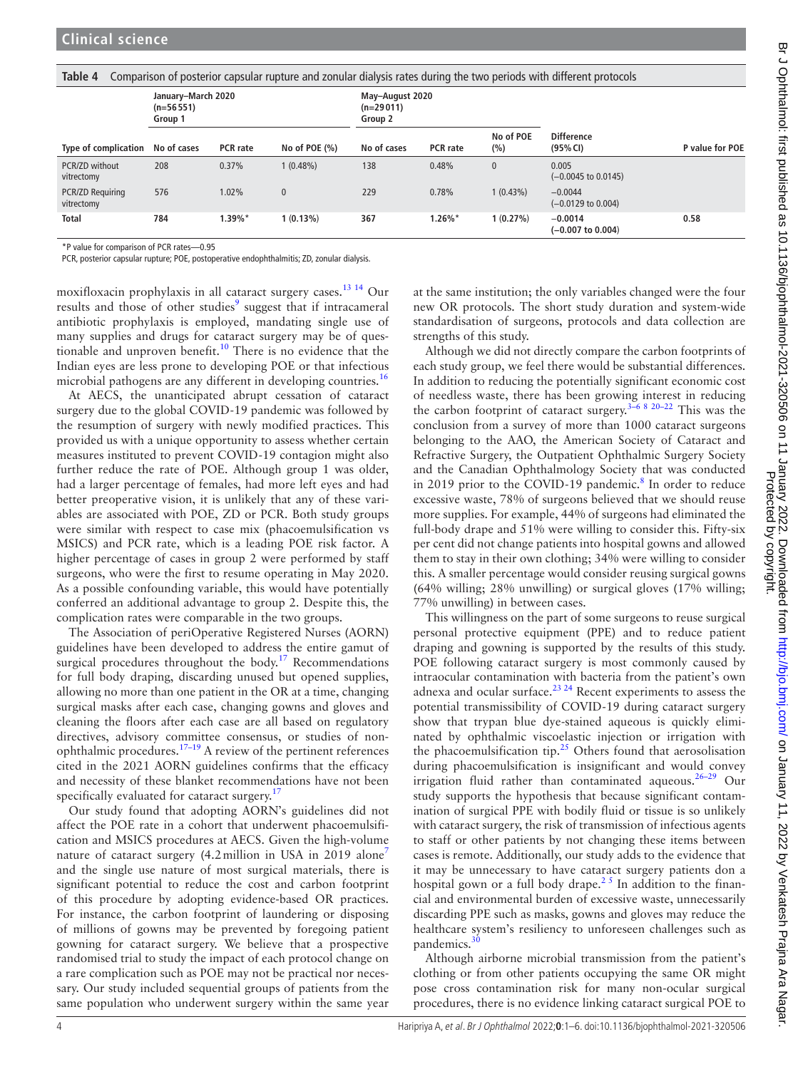<span id="page-3-0"></span>

| Comparison of posterior capsular rupture and zonular dialysis rates during the two periods with different protocols<br>Table 4 |                                              |                 |                  |                                           |                 |                  |                                         |                 |  |
|--------------------------------------------------------------------------------------------------------------------------------|----------------------------------------------|-----------------|------------------|-------------------------------------------|-----------------|------------------|-----------------------------------------|-----------------|--|
|                                                                                                                                | January-March 2020<br>$(n=56551)$<br>Group 1 |                 |                  | May-August 2020<br>$(n=29011)$<br>Group 2 |                 |                  |                                         |                 |  |
| Type of complication                                                                                                           | No of cases                                  | <b>PCR</b> rate | No of POE $(\%)$ | No of cases                               | <b>PCR</b> rate | No of POE<br>(%) | <b>Difference</b><br>(95% CI)           | P value for POE |  |
| PCR/ZD without<br>vitrectomy                                                                                                   | 208                                          | 0.37%           | $1(0.48\%)$      | 138                                       | 0.48%           | $\mathbf{0}$     | 0.005<br>$(-0.0045 \text{ to } 0.0145)$ |                 |  |
| <b>PCR/ZD Requiring</b><br>vitrectomy                                                                                          | 576                                          | 1.02%           | $\pmb{0}$        | 229                                       | 0.78%           | $1(0.43\%)$      | $-0.0044$<br>$(-0.0129$ to $0.004)$     |                 |  |
| <b>Total</b>                                                                                                                   | 784                                          | $1.39\%$ *      | $1(0.13\%)$      | 367                                       | $1.26\%$ *      | 1(0.27%)         | $-0.0014$<br>$(-0.007$ to $0.004)$      | 0.58            |  |

\*P value for comparison of PCR rates—0.95

PCR, posterior capsular rupture; POE, postoperative endophthalmitis; ZD, zonular dialysis.

moxifloxacin prophylaxis in all cataract surgery cases[.13 14](#page-4-8) Our results and those of other studies<sup>[9](#page-4-4)</sup> suggest that if intracameral antibiotic prophylaxis is employed, mandating single use of many supplies and drugs for cataract surgery may be of questionable and unproven benefit.<sup>10</sup> There is no evidence that the Indian eyes are less prone to developing POE or that infectious microbial pathogens are any different in developing countries.<sup>16</sup>

At AECS, the unanticipated abrupt cessation of cataract surgery due to the global COVID-19 pandemic was followed by the resumption of surgery with newly modified practices. This provided us with a unique opportunity to assess whether certain measures instituted to prevent COVID-19 contagion might also further reduce the rate of POE. Although group 1 was older, had a larger percentage of females, had more left eyes and had better preoperative vision, it is unlikely that any of these variables are associated with POE, ZD or PCR. Both study groups were similar with respect to case mix (phacoemulsification vs MSICS) and PCR rate, which is a leading POE risk factor. A higher percentage of cases in group 2 were performed by staff surgeons, who were the first to resume operating in May 2020. As a possible confounding variable, this would have potentially conferred an additional advantage to group 2. Despite this, the complication rates were comparable in the two groups.

The Association of periOperative Registered Nurses (AORN) guidelines have been developed to address the entire gamut of surgical procedures throughout the body.<sup>[17](#page-4-12)</sup> Recommendations for full body draping, discarding unused but opened supplies, allowing no more than one patient in the OR at a time, changing surgical masks after each case, changing gowns and gloves and cleaning the floors after each case are all based on regulatory directives, advisory committee consensus, or studies of nonophthalmic procedures.[17–19](#page-4-12) A review of the pertinent references cited in the 2021 AORN guidelines confirms that the efficacy and necessity of these blanket recommendations have not been specifically evaluated for cataract surgery.<sup>[17](#page-4-12)</sup>

Our study found that adopting AORN's guidelines did not affect the POE rate in a cohort that underwent phacoemulsification and MSICS procedures at AECS. Given the high-volume nature of cataract surgery (4.2million in USA in 2019 alone<sup>[7](#page-4-2)</sup> and the single use nature of most surgical materials, there is significant potential to reduce the cost and carbon footprint of this procedure by adopting evidence-based OR practices. For instance, the carbon footprint of laundering or disposing of millions of gowns may be prevented by foregoing patient gowning for cataract surgery. We believe that a prospective randomised trial to study the impact of each protocol change on a rare complication such as POE may not be practical nor necessary. Our study included sequential groups of patients from the same population who underwent surgery within the same year

at the same institution; the only variables changed were the four new OR protocols. The short study duration and system-wide standardisation of surgeons, protocols and data collection are strengths of this study.

Although we did not directly compare the carbon footprints of each study group, we feel there would be substantial differences. In addition to reducing the potentially significant economic cost of needless waste, there has been growing interest in reducing the carbon footprint of cataract surgery.<sup>[3–6 8 20–22](#page-4-1)</sup> This was the conclusion from a survey of more than 1000 cataract surgeons belonging to the AAO, the American Society of Cataract and Refractive Surgery, the Outpatient Ophthalmic Surgery Society and the Canadian Ophthalmology Society that was conducted in 2019 prior to the COVID-19 pandemic.<sup>[8](#page-4-3)</sup> In order to reduce excessive waste, 78% of surgeons believed that we should reuse more supplies. For example, 44% of surgeons had eliminated the full-body drape and 51% were willing to consider this. Fifty-six per cent did not change patients into hospital gowns and allowed them to stay in their own clothing; 34% were willing to consider this. A smaller percentage would consider reusing surgical gowns (64% willing; 28% unwilling) or surgical gloves (17% willing; 77% unwilling) in between cases.

Protected by copyright.

This willingness on the part of some surgeons to reuse surgical personal protective equipment (PPE) and to reduce patient draping and gowning is supported by the results of this study. POE following cataract surgery is most commonly caused by intraocular contamination with bacteria from the patient's own adnexa and ocular surface.<sup>23</sup><sup>24</sup> Recent experiments to assess the potential transmissibility of COVID-19 during cataract surgery show that trypan blue dye-stained aqueous is quickly eliminated by ophthalmic viscoelastic injection or irrigation with the phacoemulsification tip.<sup>[25](#page-5-1)</sup> Others found that aerosolisation during phacoemulsification is insignificant and would convey irrigation fluid rather than contaminated aqueous.<sup>26–29</sup> Our study supports the hypothesis that because significant contamination of surgical PPE with bodily fluid or tissue is so unlikely with cataract surgery, the risk of transmission of infectious agents to staff or other patients by not changing these items between cases is remote. Additionally, our study adds to the evidence that it may be unnecessary to have cataract surgery patients don a hospital gown or a full body drape.<sup>25</sup> In addition to the financial and environmental burden of excessive waste, unnecessarily discarding PPE such as masks, gowns and gloves may reduce the healthcare system's resiliency to unforeseen challenges such as pandemics. $30$ 

Although airborne microbial transmission from the patient's clothing or from other patients occupying the same OR might pose cross contamination risk for many non-ocular surgical procedures, there is no evidence linking cataract surgical POE to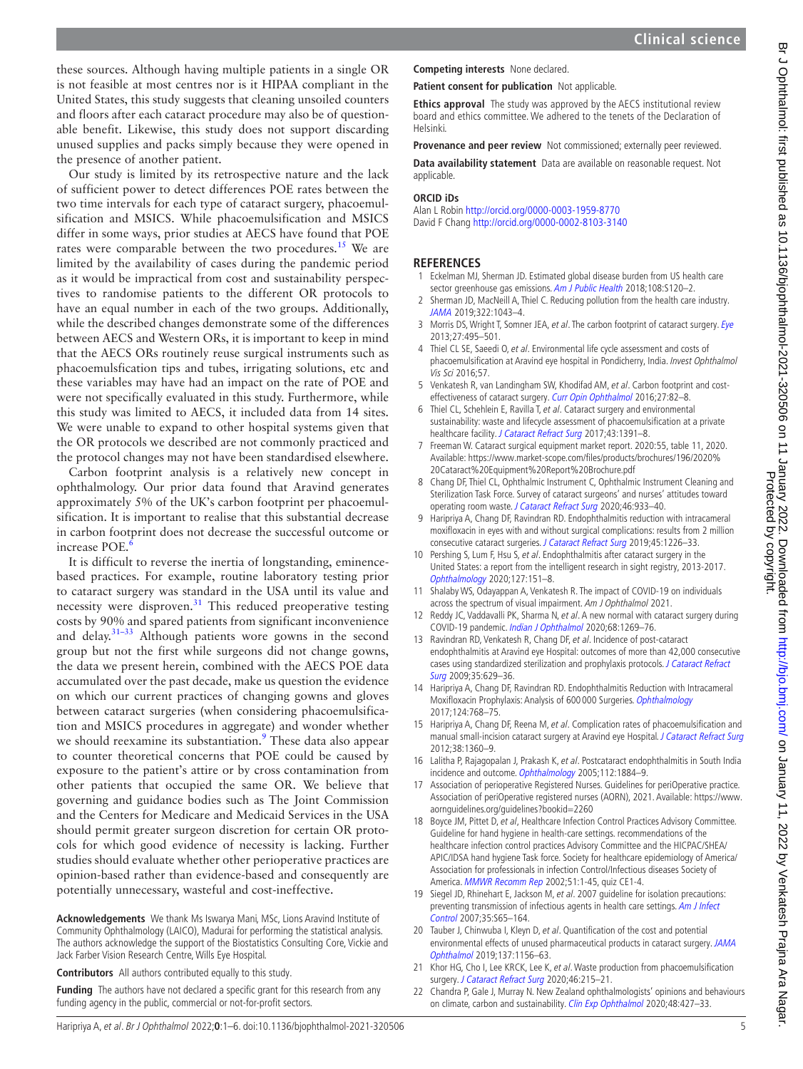these sources. Although having multiple patients in a single OR is not feasible at most centres nor is it HIPAA compliant in the United States, this study suggests that cleaning unsoiled counters and floors after each cataract procedure may also be of questionable benefit. Likewise, this study does not support discarding unused supplies and packs simply because they were opened in the presence of another patient.

Our study is limited by its retrospective nature and the lack of sufficient power to detect differences POE rates between the two time intervals for each type of cataract surgery, phacoemulsification and MSICS. While phacoemulsification and MSICS differ in some ways, prior studies at AECS have found that POE rates were comparable between the two procedures.<sup>15</sup> We are limited by the availability of cases during the pandemic period as it would be impractical from cost and sustainability perspectives to randomise patients to the different OR protocols to have an equal number in each of the two groups. Additionally, while the described changes demonstrate some of the differences between AECS and Western ORs, it is important to keep in mind that the AECS ORs routinely reuse surgical instruments such as phacoemulsfication tips and tubes, irrigating solutions, etc and these variables may have had an impact on the rate of POE and were not specifically evaluated in this study. Furthermore, while this study was limited to AECS, it included data from 14 sites. We were unable to expand to other hospital systems given that the OR protocols we described are not commonly practiced and the protocol changes may not have been standardised elsewhere.

Carbon footprint analysis is a relatively new concept in ophthalmology. Our prior data found that Aravind generates approximately 5% of the UK's carbon footprint per phacoemulsification. It is important to realise that this substantial decrease in carbon footprint does not decrease the successful outcome or increase POE.<sup>[6](#page-4-14)</sup>

It is difficult to reverse the inertia of longstanding, eminencebased practices. For example, routine laboratory testing prior to cataract surgery was standard in the USA until its value and necessity were disproven.<sup>[31](#page-5-4)</sup> This reduced preoperative testing costs by 90% and spared patients from significant inconvenience and delay.<sup>31-33</sup> Although patients wore gowns in the second group but not the first while surgeons did not change gowns, the data we present herein, combined with the AECS POE data accumulated over the past decade, make us question the evidence on which our current practices of changing gowns and gloves between cataract surgeries (when considering phacoemulsification and MSICS procedures in aggregate) and wonder whether we should reexamine its substantiation.<sup>9</sup> These data also appear to counter theoretical concerns that POE could be caused by exposure to the patient's attire or by cross contamination from other patients that occupied the same OR. We believe that governing and guidance bodies such as The Joint Commission and the Centers for Medicare and Medicaid Services in the USA should permit greater surgeon discretion for certain OR protocols for which good evidence of necessity is lacking. Further studies should evaluate whether other perioperative practices are opinion-based rather than evidence-based and consequently are potentially unnecessary, wasteful and cost-ineffective.

**Acknowledgements** We thank Ms Iswarya Mani, MSc, Lions Aravind Institute of Community Ophthalmology (LAICO), Madurai for performing the statistical analysis. The authors acknowledge the support of the Biostatistics Consulting Core, Vickie and Jack Farber Vision Research Centre, Wills Eye Hospital.

**Contributors** All authors contributed equally to this study.

**Funding** The authors have not declared a specific grant for this research from any funding agency in the public, commercial or not-for-profit sectors.

**Competing interests** None declared.

**Patient consent for publication** Not applicable.

**Ethics approval** The study was approved by the AECS institutional review board and ethics committee. We adhered to the tenets of the Declaration of Helsinki.

**Provenance and peer review** Not commissioned; externally peer reviewed.

**Data availability statement** Data are available on reasonable request. Not applicable.

#### **ORCID iDs**

Alan L Robin <http://orcid.org/0000-0003-1959-8770> David F Chang<http://orcid.org/0000-0002-8103-3140>

#### **REFERENCES**

- <span id="page-4-0"></span>1 Eckelman MJ, Sherman JD. Estimated global disease burden from US health care sector greenhouse gas emissions. [Am J Public Health](http://dx.doi.org/10.2105/AJPH.2017.303846) 2018;108:S120-2.
- <span id="page-4-13"></span>2 Sherman JD, MacNeill A, Thiel C. Reducing pollution from the health care industry. [JAMA](http://dx.doi.org/10.1001/jama.2019.10823) 2019;322:1043–4.
- <span id="page-4-1"></span>3 Morris DS, Wright T, Somner JEA, et al. The carbon footprint of cataract surgery. [Eye](http://dx.doi.org/10.1038/eye.2013.9) 2013;27:495–501.
- <span id="page-4-10"></span>4 Thiel CL SE, Saeedi O, et al. Environmental life cycle assessment and costs of phacoemulsification at Aravind eye hospital in Pondicherry, India. Invest Ophthalmol Vis Sci 2016;57.
- 5 Venkatesh R, van Landingham SW, Khodifad AM, et al. Carbon footprint and cost-effectiveness of cataract surgery. [Curr Opin Ophthalmol](http://dx.doi.org/10.1097/ICU.0000000000000228) 2016;27:82-8.
- <span id="page-4-14"></span>6 Thiel CL, Schehlein E, Ravilla T, et al. Cataract surgery and environmental sustainability: waste and lifecycle assessment of phacoemulsification at a private healthcare facility. [J Cataract Refract Surg](http://dx.doi.org/10.1016/j.jcrs.2017.08.017) 2017;43:1391-8.
- <span id="page-4-2"></span>7 Freeman W. Cataract surgical equipment market report. 2020:55, table 11, 2020. Available: [https://www.market-scope.com/files/products/brochures/196/2020%](https://www.market-scope.com/files/products/brochures/196/2020%20Cataract%20Equipment%20Report%20Brochure.pdf) [20Cataract%20Equipment%20Report%20Brochure.pdf](https://www.market-scope.com/files/products/brochures/196/2020%20Cataract%20Equipment%20Report%20Brochure.pdf)
- <span id="page-4-3"></span>8 Chang DF, Thiel CL, Ophthalmic Instrument C, Ophthalmic Instrument Cleaning and Sterilization Task Force. Survey of cataract surgeons' and nurses' attitudes toward operating room waste. [J Cataract Refract Surg](http://dx.doi.org/10.1097/j.jcrs.0000000000000267) 2020;46:933–40.
- <span id="page-4-4"></span>9 Haripriya A, Chang DF, Ravindran RD. Endophthalmitis reduction with intracameral moxifloxacin in eyes with and without surgical complications: results from 2 million consecutive cataract surgeries. [J Cataract Refract Surg](http://dx.doi.org/10.1016/j.jcrs.2019.04.018) 2019;45:1226–33.
- <span id="page-4-5"></span>10 Pershing S, Lum F, Hsu S, et al. Endophthalmitis after cataract surgery in the United States: a report from the intelligent research in sight registry, 2013-2017. [Ophthalmology](http://dx.doi.org/10.1016/j.ophtha.2019.08.026) 2020;127:151–8.
- <span id="page-4-6"></span>11 Shalaby WS, Odayappan A, Venkatesh R. The impact of COVID-19 on individuals across the spectrum of visual impairment. Am J Ophthalmol 2021.
- <span id="page-4-7"></span>12 Reddy JC, Vaddavalli PK, Sharma N, et al. A new normal with cataract surgery during COVID-19 pandemic. [Indian J Ophthalmol](http://dx.doi.org/10.4103/ijo.IJO_1528_20) 2020;68:1269–76.
- <span id="page-4-8"></span>13 Ravindran RD, Venkatesh R, Chang DF, et al. Incidence of post-cataract endophthalmitis at Aravind eye Hospital: outcomes of more than 42,000 consecutive cases using standardized sterilization and prophylaxis protocols. [J Cataract Refract](http://dx.doi.org/10.1016/j.jcrs.2009.01.002)  [Surg](http://dx.doi.org/10.1016/j.jcrs.2009.01.002) 2009;35:629–36.
- 14 Haripriya A, Chang DF, Ravindran RD. Endophthalmitis Reduction with Intracameral Moxifloxacin Prophylaxis: Analysis of 600 000 Surgeries. [Ophthalmology](http://dx.doi.org/10.1016/j.ophtha.2017.01.026) 2017;124:768–75.
- <span id="page-4-9"></span>15 Haripriya A, Chang DF, Reena M, et al. Complication rates of phacoemulsification and manual small-incision cataract surgery at Aravind eye Hospital. [J Cataract Refract Surg](http://dx.doi.org/10.1016/j.jcrs.2012.04.025) 2012;38:1360–9.
- <span id="page-4-11"></span>16 Lalitha P, Rajagopalan J, Prakash K, et al. Postcataract endophthalmitis in South India incidence and outcome. [Ophthalmology](http://dx.doi.org/10.1016/j.ophtha.2005.05.020) 2005;112:1884–9.
- <span id="page-4-12"></span>17 Association of perioperative Registered Nurses. Guidelines for periOperative practice. Association of periOperative registered nurses (AORN), 2021. Available: [https://www.](https://www.aornguidelines.org/guidelines?bookid=2260) [aornguidelines.org/guidelines?bookid=2260](https://www.aornguidelines.org/guidelines?bookid=2260)
- 18 Boyce JM, Pittet D, et al, Healthcare Infection Control Practices Advisory Committee. Guideline for hand hygiene in health-care settings. recommendations of the healthcare infection control practices Advisory Committee and the HICPAC/SHEA/ APIC/IDSA hand hygiene Task force. Society for healthcare epidemiology of America/ Association for professionals in infection Control/Infectious diseases Society of America. [MMWR Recomm Rep](http://www.ncbi.nlm.nih.gov/pubmed/12418624) 2002;51:1-45, quiz CE1-4.
- 19 Siegel JD, Rhinehart E, Jackson M, et al. 2007 guideline for isolation precautions: preventing transmission of infectious agents in health care settings. Am J Infect [Control](http://dx.doi.org/10.1016/j.ajic.2007.10.007) 2007;35:S65–164.
- 20 Tauber J, Chinwuba I, Kleyn D, et al. Quantification of the cost and potential environmental effects of unused pharmaceutical products in cataract surgery. JAMA [Ophthalmol](http://dx.doi.org/10.1001/jamaophthalmol.2019.2901) 2019;137:1156–63.
- 21 Khor HG, Cho I, Lee KRCK, Lee K, et al. Waste production from phacoemulsification surgery. [J Cataract Refract Surg](http://dx.doi.org/10.1097/j.jcrs.0000000000000009) 2020;46:215-21.
- 22 Chandra P, Gale J, Murray N. New Zealand ophthalmologists' opinions and behaviours on climate, carbon and sustainability. [Clin Exp Ophthalmol](http://dx.doi.org/10.1111/ceo.13727) 2020;48:427-33.

Protected by copyright.